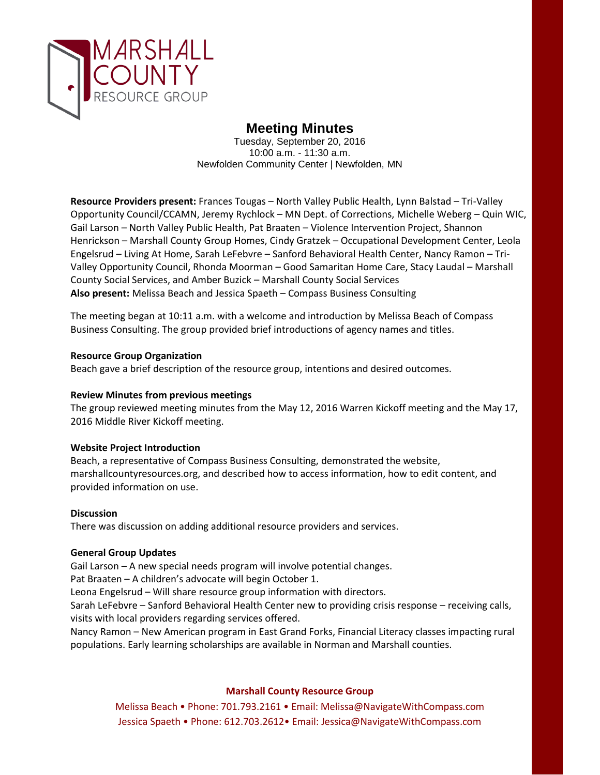

# **Meeting Minutes**

Tuesday, September 20, 2016 10:00 a.m. - 11:30 a.m. Newfolden Community Center | Newfolden, MN

**Resource Providers present:** Frances Tougas – North Valley Public Health, Lynn Balstad – Tri-Valley Opportunity Council/CCAMN, Jeremy Rychlock – MN Dept. of Corrections, Michelle Weberg – Quin WIC, Gail Larson – North Valley Public Health, Pat Braaten – Violence Intervention Project, Shannon Henrickson – Marshall County Group Homes, Cindy Gratzek – Occupational Development Center, Leola Engelsrud – Living At Home, Sarah LeFebvre – Sanford Behavioral Health Center, Nancy Ramon – Tri-Valley Opportunity Council, Rhonda Moorman – Good Samaritan Home Care, Stacy Laudal – Marshall County Social Services, and Amber Buzick – Marshall County Social Services **Also present:** Melissa Beach and Jessica Spaeth – Compass Business Consulting

The meeting began at 10:11 a.m. with a welcome and introduction by Melissa Beach of Compass Business Consulting. The group provided brief introductions of agency names and titles.

# **Resource Group Organization**

Beach gave a brief description of the resource group, intentions and desired outcomes.

### **Review Minutes from previous meetings**

The group reviewed meeting minutes from the May 12, 2016 Warren Kickoff meeting and the May 17, 2016 Middle River Kickoff meeting.

### **Website Project Introduction**

Beach, a representative of Compass Business Consulting, demonstrated the website, marshallcountyresources.org, and described how to access information, how to edit content, and provided information on use.

### **Discussion**

There was discussion on adding additional resource providers and services.

### **General Group Updates**

Gail Larson – A new special needs program will involve potential changes.

Pat Braaten – A children's advocate will begin October 1.

Leona Engelsrud – Will share resource group information with directors.

Sarah LeFebvre – Sanford Behavioral Health Center new to providing crisis response – receiving calls, visits with local providers regarding services offered.

Nancy Ramon – New American program in East Grand Forks, Financial Literacy classes impacting rural populations. Early learning scholarships are available in Norman and Marshall counties.

# **Marshall County Resource Group**

Melissa Beach • Phone: 701.793.2161 • Email: Melissa@NavigateWithCompass.com Jessica Spaeth • Phone: 612.703.2612• Email: Jessica@NavigateWithCompass.com